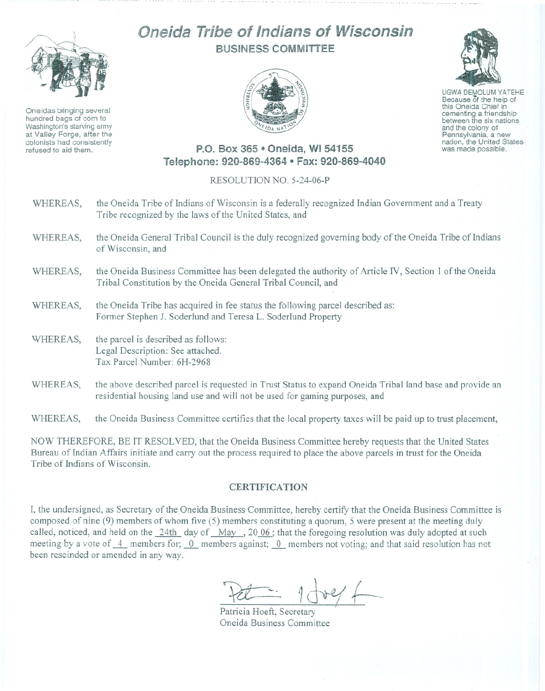

Oneidas bringing several hundred bags of corn to Washington's starving army at Valley Forge, after the refused to aid them.

## Oneida Tribe of Indians of Wisconsin BUSINESS COMMiTTEE



UGWA DEMOLUM YATEHE Because of the help of this Oneida Chief in between the six nations and the colony of<br>Pennsylvania, a new nation, the United States was made possible.

## P.O. Box 365 e Oneida, WI 54155 Telephone: 920-869-4364 · Fax: 920-869-4040

## RESOLUTION NO. 5-24-06-P

- WHEREAS, the Oneida Tribe of Indians of Wisconsin is a federally recognized Indian Government and a Treaty Tribe recognized by the laws of the United States, and
- WHEREAS, the Oneida General Tribal Council is the duly recognized governing body of the Oneida Tribe of Indians of Wisconsin, and
- WHEREAS, the Oneida Business Committee has been delegated the authority of Article IV, Section 1 of the Oneida Tribal Constitution by the Oneida General Tribal Council, and
- WHEREAS, the Oneida Tribe has acquired in fee status the following parcel described as: Former Stephen J. Soderlund and Teresa L. Soderlund Property
- WHEREAS, the parcel is described as follows: Legal Description: See attached. Tax Parcel Number: 6H-2968
- WHEREAS, the above described parcel is requested in Trust Status to expand Oneida Tribal land base and provide an residential housing land use and will not be used for gaming purposes, and

WHEREAS, the Oneida Business Committee certifies that the local property taxes will be paid up to trust placement,

NOW THEREFORE, BE IT RESOLVED, that the Oneida Business Committee hereby requests that the United States Bureau of Indian Affairs initiate and carry out the process required to place the above parcels in trust for the Oneida Tribe of Indians of Wisconsin.

## **CERTIFICATION**

I, the undersigned, as Secretary of the Oneida Business Committee, hereby certify that the Oneida Business Committee is composed of nine (9) members of whom five (5) members constituting a quorum, 5 were present at the meeting duly called, noticed, and held on the  $24$ th day of May , 20 06 ; that the foregoing resolution was duly adopted at such meeting by a vote of  $-4$  members for; 0 members against; 0 members not voting; and that said resolution has not been rescinded or amended in any way.

Pet - 1 dre/ f

Patricia Hoeft, Secretary Oneida Business Committee